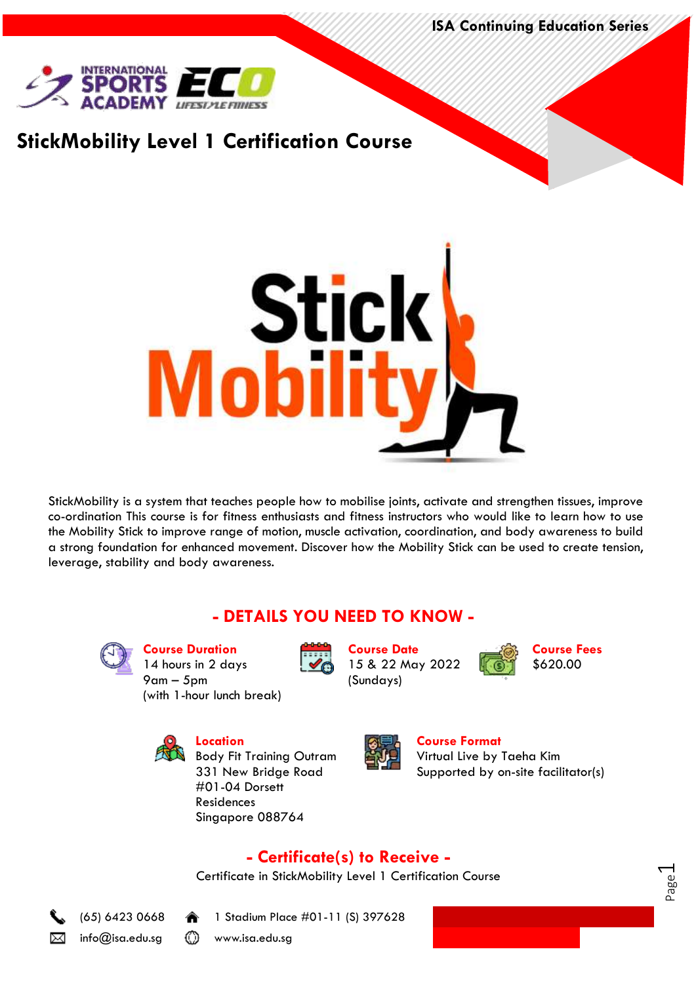**ISA Continuing Education Series**



## **StickMobility Level 1 Certification Course**



StickMobility is a system that teaches people how to mobilise joints, activate and strengthen tissues, improve co-ordination This course is for fitness enthusiasts and fitness instructors who would like to learn how to use the Mobility Stick to improve range of motion, muscle activation, coordination, and body awareness to build a strong foundation for enhanced movement. Discover how the Mobility Stick can be used to create tension, leverage, stability and body awareness.

### **- DETAILS YOU NEED TO KNOW -**



**Course Duration** 14 hours in 2 days 9am – 5pm (with 1-hour lunch break)



**Course Date** 15 & 22 May 2022 (Sundays)

**Course Fees** \$620.00

> Page  $\overline{\phantom{0}}$



Body Fit Training Outram 331 New Bridge Road #01-04 Dorsett Residences Singapore 088764



**Course Format** Virtual Live by Taeha Kim Supported by on-site facilitator(s)

### **- Certificate(s) to Receive -**

Certificate in StickMobility Level 1 Certification Course





(65) 6423 0668 1 Stadium Place #01-11 (S) 397628

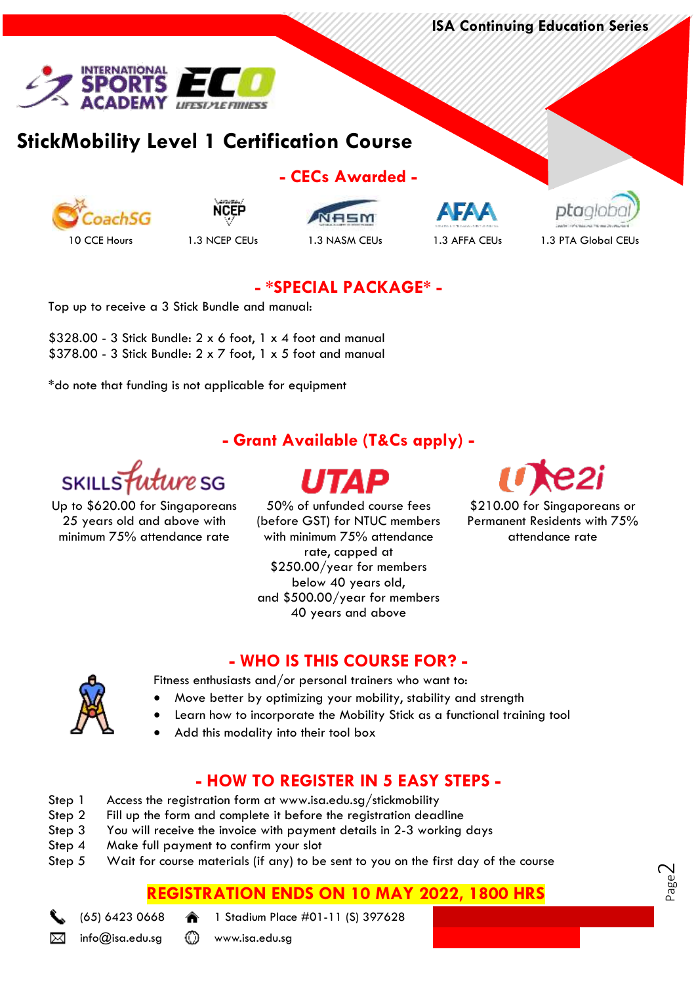**ISA Continuing Education Series**



# **StickMobility Level 1 Certification Course**





**- CECs Awarded -**







### **- \*SPECIAL PACKAGE\* -**

Top up to receive a 3 Stick Bundle and manual:

\$328.00 - 3 Stick Bundle: 2 x 6 foot, 1 x 4 foot and manual \$378.00 - 3 Stick Bundle: 2 x 7 foot, 1 x 5 foot and manual

\*do note that funding is not applicable for equipment

### **- Grant Available (T&Cs apply) -**



Up to \$620.00 for Singaporeans 25 years old and above with minimum 75% attendance rate

50% of unfunded course fees (before GST) for NTUC members with minimum 75% attendance rate, capped at \$250.00/year for members below 40 years old, and \$500.00/year for members 40 years and above



\$210.00 for Singaporeans or Permanent Residents with 75% attendance rate

> Page  $\mathcal{\sim}$

#### **- WHO IS THIS COURSE FOR? -**

Fitness enthusiasts and/or personal trainers who want to:

- Move better by optimizing your mobility, stability and strength
- Learn how to incorporate the Mobility Stick as a functional training tool
- Add this modality into their tool box

### **- HOW TO REGISTER IN 5 EASY STEPS -**

- Step 1 Access the registration form at www.isa.edu.sg/stickmobility
- Step 2 Fill up the form and complete it before the registration deadline
- Step 3 You will receive the invoice with payment details in 2-3 working days
- Step 4 Make full payment to confirm your slot
- Step 5 Wait for course materials (if any) to be sent to you on the first day of the course

### **REGISTRATION ENDS ON 10 MAY 2022, 1800 HRS**

(65) 6423 0668 1 Stadium Place #01-11 (S) 397628

⊠

info@isa.edu.sg (1) www.isa.edu.sg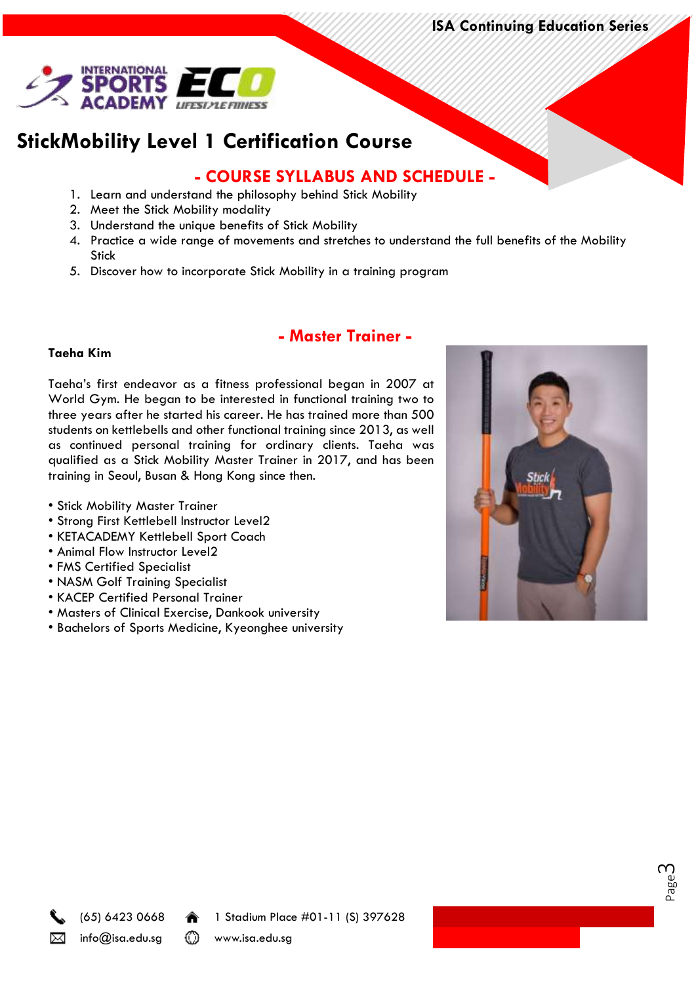**ISA Continuing Education Series**



# **StickMobility Level 1 Certification Course**

### **- COURSE SYLLABUS AND SCHEDULE -**

- 1. Learn and understand the philosophy behind Stick Mobility
- 2. Meet the Stick Mobility modality
- 3. Understand the unique benefits of Stick Mobility
- 4. Practice a wide range of movements and stretches to understand the full benefits of the Mobility **Stick**
- 5. Discover how to incorporate Stick Mobility in a training program

### **- Master Trainer -**

#### **Taeha Kim**

Taeha's first endeavor as a fitness professional began in 2007 at World Gym. He began to be interested in functional training two to three years after he started his career. He has trained more than 500 students on kettlebells and other functional training since 2013, as well as continued personal training for ordinary clients. Taeha was qualified as a Stick Mobility Master Trainer in 2017, and has been training in Seoul, Busan & Hong Kong since then.

- Stick Mobility Master Trainer
- Strong First Kettlebell Instructor Level2
- KETACADEMY Kettlebell Sport Coach
- Animal Flow Instructor Level2
- FMS Certified Specialist
- NASM Golf Training Specialist
- KACEP Certified Personal Trainer
- Masters of Clinical Exercise, Dankook university
- Bachelors of Sports Medicine, Kyeonghee university



Page ന



(65) 6423 0668 1 Stadium Place #01-11 (S) 397628